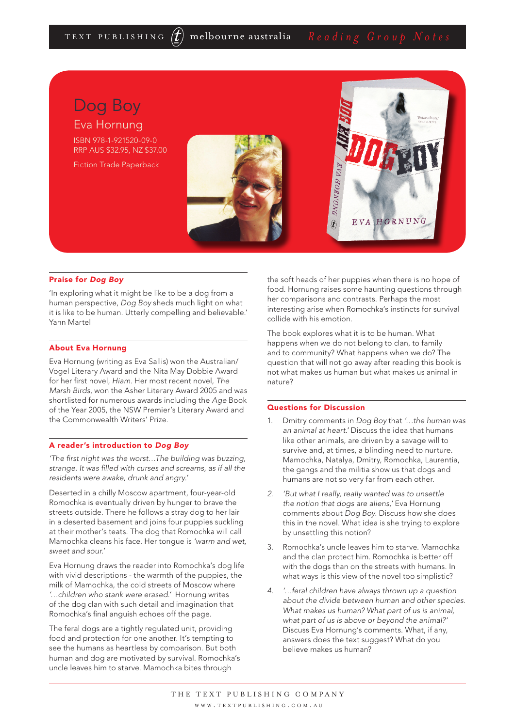

### Praise for *Dog Boy*

'In exploring what it might be like to be a dog from a human perspective, *Dog Boy* sheds much light on what it is like to be human. Utterly compelling and believable.' Yann Martel

#### About Eva Hornung

Eva Hornung (writing as Eva Sallis) won the Australian/ Vogel Literary Award and the Nita May Dobbie Award for her first novel, *Hiam*. Her most recent novel, *The Marsh Birds*, won the Asher Literary Award 2005 and was shortlisted for numerous awards including the *Age* Book of the Year 2005, the NSW Premier's Literary Award and the Commonwealth Writers' Prize.

## A reader's introduction to *Dog Boy*

*'The first night was the worst…The building was buzzing, strange. It was filled with curses and screams, as if all the residents were awake, drunk and angry.'* 

Deserted in a chilly Moscow apartment, four-year-old Romochka is eventually driven by hunger to brave the streets outside. There he follows a stray dog to her lair in a deserted basement and joins four puppies suckling at their mother's teats. The dog that Romochka will call Mamochka cleans his face. Her tongue is *'warm and wet, sweet and sour.'*

Eva Hornung draws the reader into Romochka's dog life with vivid descriptions - the warmth of the puppies, the milk of Mamochka, the cold streets of Moscow where *'…children who stank were erased.'* Hornung writes of the dog clan with such detail and imagination that Romochka's final anguish echoes off the page.

The feral dogs are a tightly regulated unit, providing food and protection for one another. It's tempting to see the humans as heartless by comparison. But both human and dog are motivated by survival. Romochka's uncle leaves him to starve. Mamochka bites through

the soft heads of her puppies when there is no hope of food. Hornung raises some haunting questions through her comparisons and contrasts. Perhaps the most interesting arise when Romochka's instincts for survival collide with his emotion.

The book explores what it is to be human. What happens when we do not belong to clan, to family and to community? What happens when we do? The question that will not go away after reading this book is not what makes us human but what makes us animal in nature?

#### Questions for Discussion

- 1. Dmitry comments in *Dog Boy* that *'…the human was an animal at heart.'* Discuss the idea that humans like other animals, are driven by a savage will to survive and, at times, a blinding need to nurture. Mamochka, Natalya, Dmitry, Romochka, Laurentia, the gangs and the militia show us that dogs and humans are not so very far from each other.
- *2. 'But what I really, really wanted was to unsettle the notion that dogs are aliens,'* Eva Hornung comments about *Dog Boy*. Discuss how she does this in the novel. What idea is she trying to explore by unsettling this notion?
- 3. Romochka's uncle leaves him to starve. Mamochka and the clan protect him. Romochka is better off with the dogs than on the streets with humans. In what ways is this view of the novel too simplistic?
- *4. '…feral children have always thrown up a question about the divide between human and other species. What makes us human? What part of us is animal, what part of us is above or beyond the animal?'*  Discuss Eva Hornung's comments. What, if any, answers does the text suggest? What do you believe makes us human?